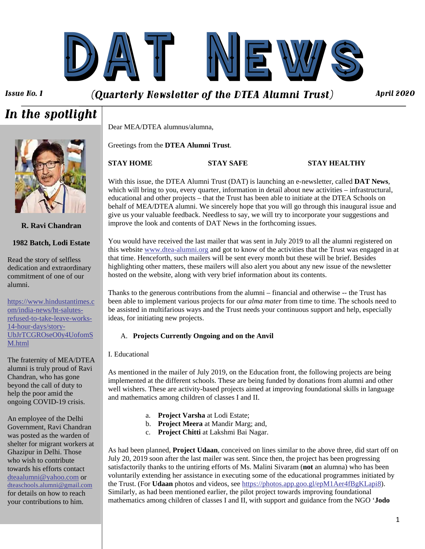

### *Issue No. 1 (Quarterly Newsletter of the DTEA Alumni Trust)*

improve the look and contents of DAT News in the forthcoming issues.

## *In the spotlight*

Dear MEA/DTEA alumnus/alumna,

Greetings from the **DTEA Alumni Trust**.

#### **STAY HOME STAY SAFE STAY HEALTHY**

With this issue, the DTEA Alumni Trust (DAT) is launching an e-newsletter, called **DAT News**, which will bring to you, every quarter, information in detail about new activities – infrastructural, educational and other projects – that the Trust has been able to initiate at the DTEA Schools on behalf of MEA/DTEA alumni. We sincerely hope that you will go through this inaugural issue and give us your valuable feedback. Needless to say, we will try to incorporate your suggestions and

You would have received the last mailer that was sent in July 2019 to all the alumni registered on this website [www.dtea-alumni.org](http://www.dtea-alumni.org/) and got to know of the activities that the Trust was engaged in at that time. Henceforth, such mailers will be sent every month but these will be brief. Besides highlighting other matters, these mailers will also alert you about any new issue of the newsletter hosted on the website, along with very brief information about its contents.

Thanks to the generous contributions from the alumni – financial and otherwise -- the Trust has been able to implement various projects for our *alma mater* from time to time. The schools need to be assisted in multifarious ways and the Trust needs your continuous support and help, especially ideas, for initiating new projects.

#### A. **Projects Currently Ongoing and on the Anvil**

#### I. Educational

As mentioned in the mailer of July 2019, on the Education front, the following projects are being implemented at the different schools. These are being funded by donations from alumni and other well wishers. These are activity-based projects aimed at improving foundational skills in language and mathematics among children of classes I and II.

- a. **Project Varsha** at Lodi Estate;
- b. **Project Meera** at Mandir Marg; and,
- c. **Project Chitti** at Lakshmi Bai Nagar.

As had been planned, **Project Udaan**, conceived on lines similar to the above three, did start off on July 20, 2019 soon after the last mailer was sent. Since then, the project has been progressing satisfactorily thanks to the untiring efforts of Ms. Malini Sivaram (**not** an alumna) who has been voluntarily extending her assistance in executing some of the educational programmes initiated by the Trust. (For **Udaan** photos and videos, see <https://photos.app.goo.gl/epM1Aer4fBgKLapi8>). Similarly, as had been mentioned earlier, the pilot project towards improving foundational mathematics among children of classes I and II, with support and guidance from the NGO '**Jodo** 



#### **R. Ravi Chandran**

#### **1982 Batch, Lodi Estate**

Read the story of selfless dedication and extraordinary commitment of one of our alumni.

[https://www.hindustantimes.c](https://www.hindustantimes.com/india-news/ht-salutes-refused-to-take-leave-works-14-hour-days/story-UbJrTCGROseO0y4UofomSM.html) [om/india-news/ht-salutes](https://www.hindustantimes.com/india-news/ht-salutes-refused-to-take-leave-works-14-hour-days/story-UbJrTCGROseO0y4UofomSM.html)[refused-to-take-leave-works-](https://www.hindustantimes.com/india-news/ht-salutes-refused-to-take-leave-works-14-hour-days/story-UbJrTCGROseO0y4UofomSM.html)[14-hour-days/story-](https://www.hindustantimes.com/india-news/ht-salutes-refused-to-take-leave-works-14-hour-days/story-UbJrTCGROseO0y4UofomSM.html)[UbJrTCGROseO0y4UofomS](https://www.hindustantimes.com/india-news/ht-salutes-refused-to-take-leave-works-14-hour-days/story-UbJrTCGROseO0y4UofomSM.html) [M.html](https://www.hindustantimes.com/india-news/ht-salutes-refused-to-take-leave-works-14-hour-days/story-UbJrTCGROseO0y4UofomSM.html)

The fraternity of MEA/DTEA alumni is truly proud of Ravi Chandran, who has gone beyond the call of duty to help the poor amid the ongoing COVID-19 crisis.

An employee of the Delhi Government, Ravi Chandran was posted as the warden of shelter for migrant workers at Ghazipur in Delhi. Those who wish to contribute towards his efforts contact [dteaalumni@yahoo.com](mailto:dteaalumni@yahoo.com) or [dteaschools.alumni@gmail.com](mailto:dteaschools.alumni@gmail.com) for details on how to reach your contributions to him.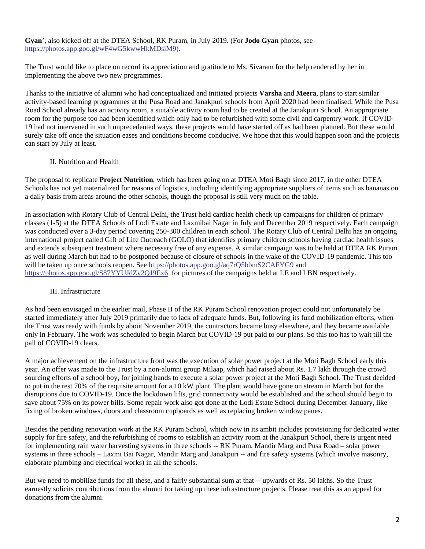**Gyan**', also kicked off at the DTEA School, RK Puram, in July 2019. (For **Jodo Gyan** photos, see [https://photos.app.goo.gl/wF4wG5kwwHkMDsiM9\)](https://photos.app.goo.gl/wF4wG5kwwHkMDsiM9).

The Trust would like to place on record its appreciation and gratitude to Ms. Sivaram for the help rendered by her in implementing the above two new programmes.

Thanks to the initiative of alumni who had conceptualized and initiated projects **Varsha** and **Meera**, plans to start similar activity-based learning programmes at the Pusa Road and Janakpuri schools from April 2020 had been finalised. While the Pusa Road School already has an activity room, a suitable activity room had to be created at the Janakpuri School. An appropriate room for the purpose too had been identified which only had to be refurbished with some civil and carpentry work. If COVID-19 had not intervened in such unprecedented ways, these projects would have started off as had been planned. But these would surely take off once the situation eases and conditions become conducive. We hope that this would happen soon and the projects can start by July at least.

#### II. Nutrition and Health

The proposal to replicate **Project Nutrition**, which has been going on at DTEA Moti Bagh since 2017, in the other DTEA Schools has not yet materialized for reasons of logistics, including identifying appropriate suppliers of items such as bananas on a daily basis from areas around the other schools, though the proposal is still very much on the table.

In association with Rotary Club of Central Delhi, the Trust held cardiac health check up campaigns for children of primary classes (1-5) at the DTEA Schools of Lodi Estate and Laxmibai Nagar in July and December 2019 respectively. Each campaign was conducted over a 3-day period covering 250-300 children in each school. The Rotary Club of Central Delhi has an ongoing international project called Gift of Life Outreach (GOLO) that identifies primary children schools having cardiac health issues and extends subsequent treatment where necessary free of any expense. A similar campaign was to be held at DTEA RK Puram as well during March but had to be postponed because of closure of schools in the wake of the COVID-19 pandemic. This too will be taken up once schools reopen. See <https://photos.app.goo.gl/aq7rQ5bbmS2CAFYG9> and <https://photos.app.goo.gl/S87YYUJdZv2QJ9Ex6> for pictures of the campaigns held at LE and LBN respectively.

#### III. Infrastructure

As had been envisaged in the earlier mail, Phase II of the RK Puram School renovation project could not unfortunately be started immediately after July 2019 primarily due to lack of adequate funds. But, following its fund mobilization efforts, when the Trust was ready with funds by about November 2019, the contractors became busy elsewhere, and they became available only in February. The work was scheduled to begin March but COVID-19 put paid to our plans. So this too has to wait till the pall of COVID-19 clears.

A major achievement on the infrastructure front was the execution of solar power project at the Moti Bagh School early this year. An offer was made to the Trust by a non-alumni group Milaap, which had raised about Rs. 1.7 lakh through the crowd sourcing efforts of a school boy, for joining hands to execute a solar power project at the Moti Bagh School. The Trust decided to put in the rest 70% of the requisite amount for a 10 kW plant. The plant would have gone on stream in March but for the disruptions due to COVID-19. Once the lockdown lifts, grid connectivity would be established and the school should begin to save about 75% on its power bills. Some repair work also got done at the Lodi Estate School during December-January, like fixing of broken windows, doors and classroom cupboards as well as replacing broken window panes.

Besides the pending renovation work at the RK Puram School, which now in its ambit includes provisioning for dedicated water supply for fire safety, and the refurbishing of rooms to establish an activity room at the Janakpuri School, there is urgent need for implementing rain water harvesting systems in three schools -- RK Puram, Mandir Marg and Pusa Road – solar power systems in three schools – Laxmi Bai Nagar, Mandir Marg and Janakpuri -- and fire safety systems (which involve masonry, elaborate plumbing and electrical works) in all the schools.

But we need to mobilize funds for all these, and a fairly substantial sum at that -- upwards of Rs. 50 lakhs. So the Trust earnestly solicits contributions from the alumni for taking up these infrastructure projects. Please treat this as an appeal for donations from the alumni.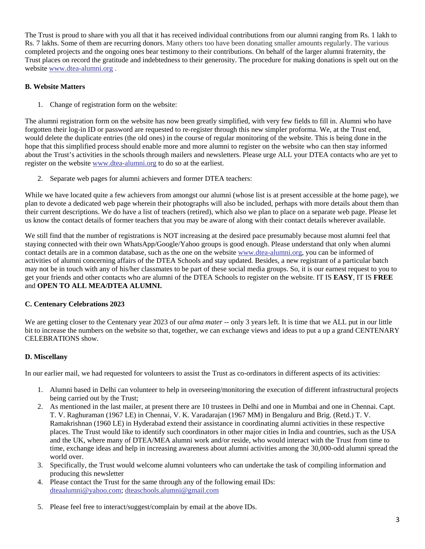The Trust is proud to share with you all that it has received individual contributions from our alumni ranging from Rs. 1 lakh to Rs. 7 lakhs. Some of them are recurring donors. Many others too have been donating smaller amounts regularly. The various completed projects and the ongoing ones bear testimony to their contributions. On behalf of the larger alumni fraternity, the Trust places on record the gratitude and indebtedness to their generosity. The procedure for making donations is spelt out on the website [www.dtea-alumni.org](http://www.dtea-alumni.org/) .

#### **B. Website Matters**

1. Change of registration form on the website:

The alumni registration form on the website has now been greatly simplified, with very few fields to fill in. Alumni who have forgotten their log-in ID or password are requested to re-register through this new simpler proforma. We, at the Trust end, would delete the duplicate entries (the old ones) in the course of regular monitoring of the website. This is being done in the hope that this simplified process should enable more and more alumni to register on the website who can then stay informed about the Trust's activities in the schools through mailers and newsletters. Please urge ALL your DTEA contacts who are yet to register on the website [www.dtea-alumni.org](http://www.dtea-alumni.org/) to do so at the earliest.

2. Separate web pages for alumni achievers and former DTEA teachers:

While we have located quite a few achievers from amongst our alumni (whose list is at present accessible at the home page), we plan to devote a dedicated web page wherein their photographs will also be included, perhaps with more details about them than their current descriptions. We do have a list of teachers (retired), which also we plan to place on a separate web page. Please let us know the contact details of former teachers that you may be aware of along with their contact details wherever available.

We still find that the number of registrations is NOT increasing at the desired pace presumably because most alumni feel that staying connected with their own WhatsApp/Google/Yahoo groups is good enough. Please understand that only when alumni contact details are in a common database, such as the one on the website [www.dtea-alumni.org](http://www.dtea-alumni.org/), you can be informed of activities of alumni concerning affairs of the DTEA Schools and stay updated. Besides, a new registrant of a particular batch may not be in touch with any of his/her classmates to be part of these social media groups. So, it is our earnest request to you to get your friends and other contacts who are alumni of the DTEA Schools to register on the website. IT IS **EASY**, IT IS **FREE** and **OPEN TO ALL MEA/DTEA ALUMNI.** 

#### **C. Centenary Celebrations 2023**

We are getting closer to the Centenary year 2023 of our *alma mater* -- only 3 years left. It is time that we ALL put in our little bit to increase the numbers on the website so that, together, we can exchange views and ideas to put a up a grand CENTENARY CELEBRATIONS show.

#### **D. Miscellany**

In our earlier mail, we had requested for volunteers to assist the Trust as co-ordinators in different aspects of its activities:

- 1. Alumni based in Delhi can volunteer to help in overseeing/monitoring the execution of different infrastructural projects being carried out by the Trust;
- 2. As mentioned in the last mailer, at present there are 10 trustees in Delhi and one in Mumbai and one in Chennai. Capt. T. V. Raghuraman (1967 LE) in Chennai, V. K. Varadarajan (1967 MM) in Bengaluru and Brig. (Retd.) T. V. Ramakrishnan (1960 LE) in Hyderabad extend their assistance in coordinating alumni activities in these respective places. The Trust would like to identify such coordinators in other major cities in India and countries, such as the USA and the UK, where many of DTEA/MEA alumni work and/or reside, who would interact with the Trust from time to time, exchange ideas and help in increasing awareness about alumni activities among the 30,000-odd alumni spread the world over.
- 3. Specifically, the Trust would welcome alumni volunteers who can undertake the task of compiling information and producing this newsletter
- 4. Please contact the Trust for the same through any of the following email IDs: [dteaalumni@yahoo.com;](mailto:dteaalumni@yahoo.com) [dteaschools.alumni@gmail.com](mailto:dteaschools.alumni@gmail.com)
- 5. Please feel free to interact/suggest/complain by email at the above IDs.